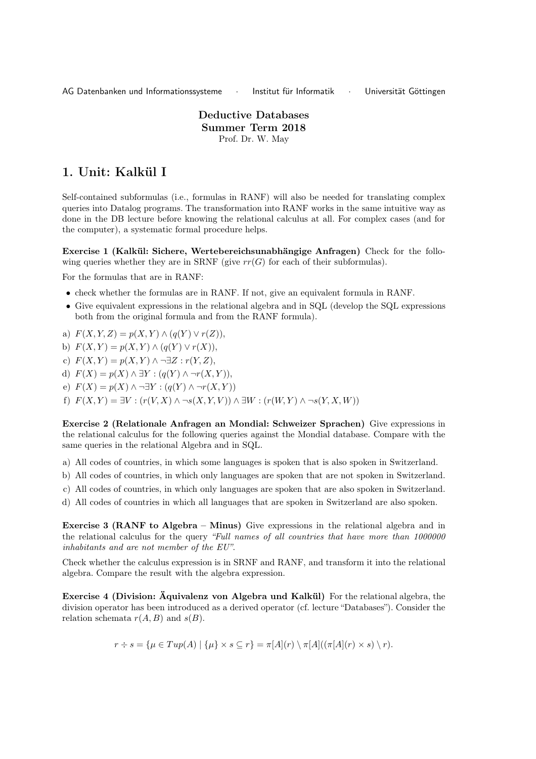AG Datenbanken und Informationssysteme · Institut für Informatik · Universität Göttingen

Deductive Databases Summer Term 2018 Prof. Dr. W. May

## 1. Unit: Kalkül I

Self-contained subformulas (i.e., formulas in RANF) will also be needed for translating complex queries into Datalog programs. The transformation into RANF works in the same intuitive way as done in the DB lecture before knowing the relational calculus at all. For complex cases (and for the computer), a systematic formal procedure helps.

Exercise 1 (Kalkül: Sichere, Wertebereichsunabhängige Anfragen) Check for the following queries whether they are in SRNF (give  $rr(G)$  for each of their subformulas).

For the formulas that are in RANF:

- check whether the formulas are in RANF. If not, give an equivalent formula in RANF.
- Give equivalent expressions in the relational algebra and in SQL (develop the SQL expressions both from the original formula and from the RANF formula).

a)  $F(X, Y, Z) = p(X, Y) \wedge (q(Y) \vee r(Z)),$ 

- b)  $F(X, Y) = p(X, Y) \wedge (q(Y) \vee r(X)),$
- c)  $F(X, Y) = p(X, Y) \wedge \neg \exists Z : r(Y, Z),$
- d)  $F(X) = p(X) \wedge \exists Y : (q(Y) \wedge \neg r(X, Y)),$
- e)  $F(X) = p(X) \wedge \neg \exists Y : (q(Y) \wedge \neg r(X, Y))$
- f)  $F(X, Y) = \exists V : (r(V, X) \land \neg s(X, Y, V)) \land \exists W : (r(W, Y) \land \neg s(Y, X, W))$

Exercise 2 (Relationale Anfragen an Mondial: Schweizer Sprachen) Give expressions in the relational calculus for the following queries against the Mondial database. Compare with the same queries in the relational Algebra and in SQL.

a) All codes of countries, in which some languages is spoken that is also spoken in Switzerland.

- b) All codes of countries, in which only languages are spoken that are not spoken in Switzerland.
- c) All codes of countries, in which only languages are spoken that are also spoken in Switzerland.
- d) All codes of countries in which all languages that are spoken in Switzerland are also spoken.

**Exercise 3 (RANF to Algebra – Minus)** Give expressions in the relational algebra and in the relational calculus for the query "Full names of all countries that have more than 1000000 inhabitants and are not member of the EU".

Check whether the calculus expression is in SRNF and RANF, and transform it into the relational algebra. Compare the result with the algebra expression.

Exercise 4 (Division: Äquivalenz von Algebra und Kalkül) For the relational algebra, the division operator has been introduced as a derived operator (cf. lecture "Databases"). Consider the relation schemata  $r(A, B)$  and  $s(B)$ .

$$
r \div s = \{ \mu \in Tup(A) \mid \{ \mu \} \times s \subseteq r \} = \pi[A](r) \setminus \pi[A]((\pi[A](r) \times s) \setminus r).
$$